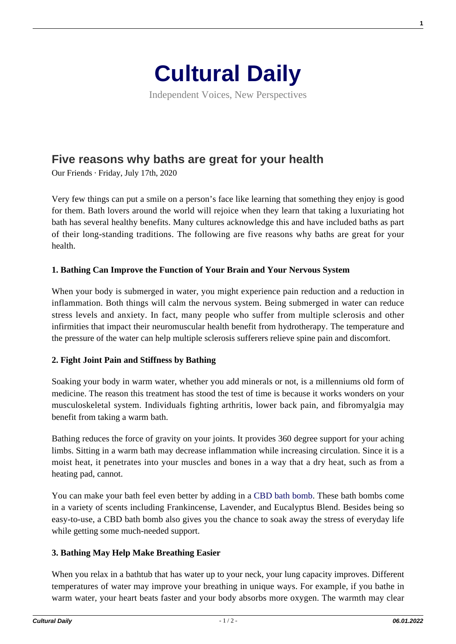

Independent Voices, New Perspectives

# **[Five reasons why baths are great for your health](https://culturaldaily.com/five-reasons-why-baths-are-great-for-your-health/)**

Our Friends · Friday, July 17th, 2020

Very few things can put a smile on a person's face like learning that something they enjoy is good for them. Bath lovers around the world will rejoice when they learn that taking a luxuriating hot bath has several healthy benefits. Many cultures acknowledge this and have included baths as part of their long-standing traditions. The following are five reasons why baths are great for your health.

#### **1. Bathing Can Improve the Function of Your Brain and Your Nervous System**

When your body is submerged in water, you might experience pain reduction and a reduction in inflammation. Both things will calm the nervous system. Being submerged in water can reduce stress levels and anxiety. In fact, many people who suffer from multiple sclerosis and other infirmities that impact their neuromuscular health benefit from hydrotherapy. The temperature and the pressure of the water can help multiple sclerosis sufferers relieve spine pain and discomfort.

#### **2. Fight Joint Pain and Stiffness by Bathing**

Soaking your body in warm water, whether you add minerals or not, is a millenniums old form of medicine. The reason this treatment has stood the test of time is because it works wonders on your musculoskeletal system. Individuals fighting arthritis, lower back pain, and fibromyalgia may benefit from taking a warm bath.

Bathing reduces the force of gravity on your joints. It provides 360 degree support for your aching limbs. Sitting in a warm bath may decrease inflammation while increasing circulation. Since it is a moist heat, it penetrates into your muscles and bones in a way that a dry heat, such as from a heating pad, cannot.

You can make your bath feel even better by adding in a [CBD bath bomb](https://www.cbdmd.com/cbd-bath-bombs). These bath bombs come in a variety of scents including Frankincense, Lavender, and Eucalyptus Blend. Besides being so easy-to-use, a CBD bath bomb also gives you the chance to soak away the stress of everyday life while getting some much-needed support.

# **3. Bathing May Help Make Breathing Easier**

When you relax in a bathtub that has water up to your neck, your lung capacity improves. Different temperatures of water may improve your breathing in unique ways. For example, if you bathe in warm water, your heart beats faster and your body absorbs more oxygen. The warmth may clear

**1**